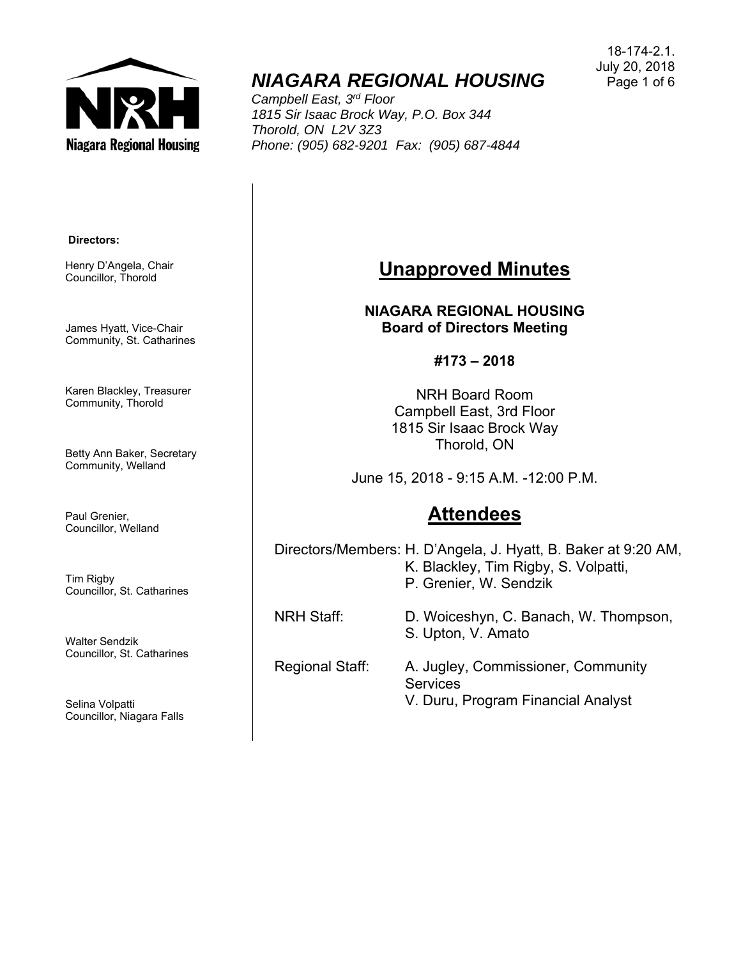

# **NIAGARA REGIONAL HOUSING** Page 1 of 6

*Campbell East, 3rd Floor 1815 Sir Isaac Brock Way, P.O. Box 344 Thorold, ON L2V 3Z3 Phone: (905) 682-9201 Fax: (905) 687-4844* 

#### **Directors:**

Henry D'Angela, Chair Councillor, Thorold

James Hyatt, Vice-Chair Community, St. Catharines

Karen Blackley, Treasurer Community, Thorold

Betty Ann Baker, Secretary Community, Welland

Paul Grenier, Councillor, Welland

Tim Rigby Councillor, St. Catharines

Walter Sendzik Councillor, St. Catharines

Selina Volpatti Councillor, Niagara Falls

## **Unapproved Minutes**

**NIAGARA REGIONAL HOUSING Board of Directors Meeting** 

**#173 – 2018** 

NRH Board Room Campbell East, 3rd Floor 1815 Sir Isaac Brock Way Thorold, ON

June 15, 2018 - 9:15 A.M. -12:00 P.M.

# **Attendees**

 K. Blackley, Tim Rigby, S. Volpatti, S. Upton, V. Amato Directors/Members: H. D'Angela, J. Hyatt, B. Baker at 9:20 AM, P. Grenier, W. Sendzik NRH Staff: D. Woiceshyn, C. Banach, W. Thompson,

Regional Staff: A. Jugley, Commissioner, Community **Services** V. Duru, Program Financial Analyst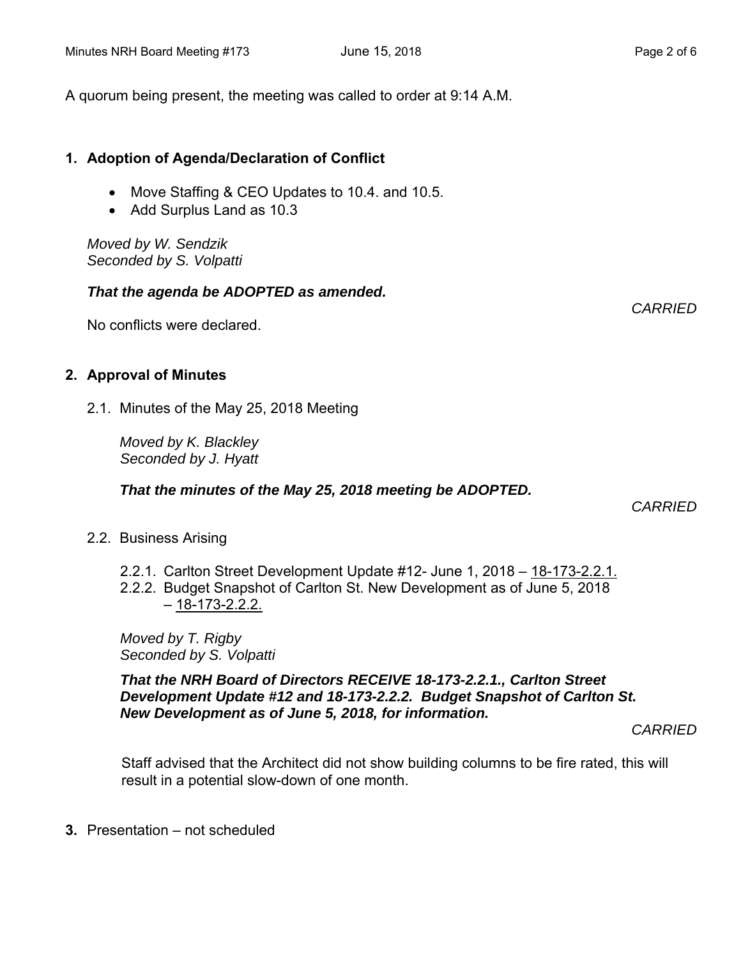A quorum being present, the meeting was called to order at 9:14 A.M.

### **1. Adoption of Agenda/Declaration of Conflict**

- Move Staffing & CEO Updates to 10.4. and 10.5.
- Add Surplus Land as 10.3

*Moved by W. Sendzik Seconded by S. Volpatti* 

#### *That the agenda be ADOPTED as amended.*

No conflicts were declared.

#### **2. Approval of Minutes**

2.1. Minutes of the May 25, 2018 Meeting

*Moved by K. Blackley Seconded by J. Hyatt* 

#### *That the minutes of the May 25, 2018 meeting be ADOPTED.*

 *CARRIED* 

- 2.2. Business Arising
	- 2.2.1. Carlton Street Development Update #12- June 1, 2018 18-173-2.2.1.
	- 2.2.2. Budget Snapshot of Carlton St. New Development as of June 5, 2018  $-18-173-2.2.2$

*Moved by T. Rigby Seconded by S. Volpatti* 

*That the NRH Board of Directors RECEIVE 18-173-2.2.1., Carlton Street Development Update #12 and 18-173-2.2.2. Budget Snapshot of Carlton St. New Development as of June 5, 2018, for information.* 

*CARRIED* 

Staff advised that the Architect did not show building columns to be fire rated, this will result in a potential slow-down of one month.

**3.** Presentation – not scheduled

*CARRIED*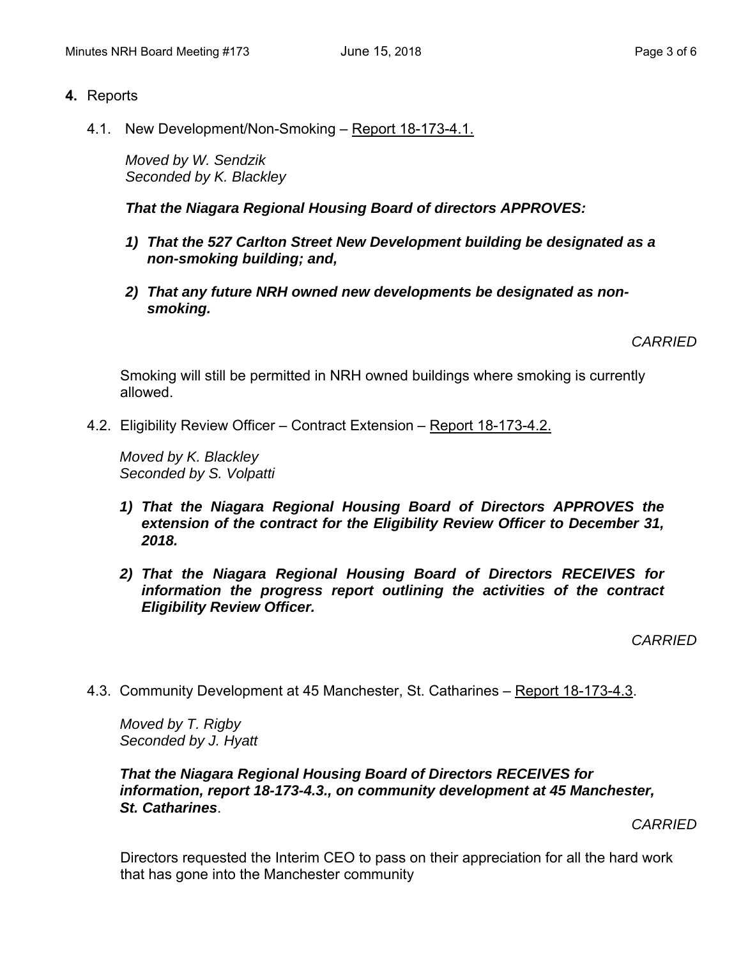#### **4.** Reports

4.1. New Development/Non-Smoking – Report 18-173-4.1.

*Moved by W. Sendzik Seconded by K. Blackley* 

*That the Niagara Regional Housing Board of directors APPROVES:* 

- *1) That the 527 Carlton Street New Development building be designated as a non-smoking building; and,*
- *2) That any future NRH owned new developments be designated as nonsmoking.*

*CARRIED* 

Smoking will still be permitted in NRH owned buildings where smoking is currently allowed.

4.2. Eligibility Review Officer – Contract Extension – Report 18-173-4.2.

*Moved by K. Blackley Seconded by S. Volpatti* 

- *1) That the Niagara Regional Housing Board of Directors APPROVES the extension of the contract for the Eligibility Review Officer to December 31, 2018.*
- *2) That the Niagara Regional Housing Board of Directors RECEIVES for information the progress report outlining the activities of the contract Eligibility Review Officer.*

*CARRIED* 

4.3. Community Development at 45 Manchester, St. Catharines – Report 18-173-4.3.

*Moved by T. Rigby Seconded by J. Hyatt* 

#### *That the Niagara Regional Housing Board of Directors RECEIVES for information, report 18-173-4.3., on community development at 45 Manchester, St. Catharines*.

*CARRIED* 

Directors requested the Interim CEO to pass on their appreciation for all the hard work that has gone into the Manchester community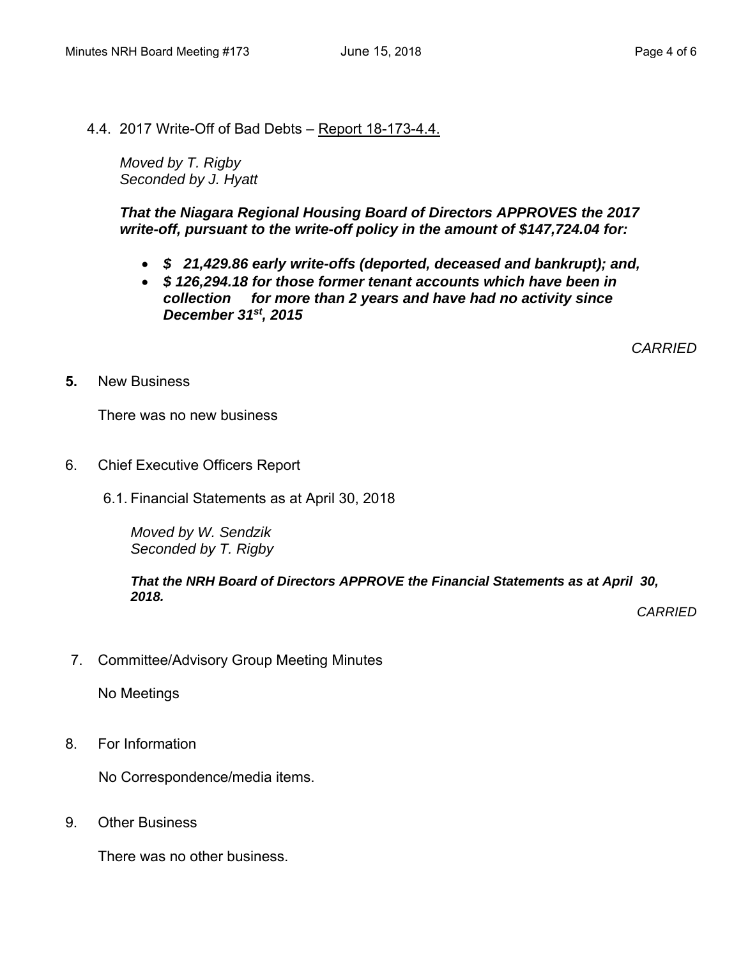4.4. 2017 Write-Off of Bad Debts – Report 18-173-4.4.

*Moved by T. Rigby Seconded by J. Hyatt* 

*That the Niagara Regional Housing Board of Directors APPROVES the 2017 write-off, pursuant to the write-off policy in the amount of \$147,724.04 for:* 

- *\$ 21,429.86 early write-offs (deported, deceased and bankrupt); and,*
- *collection for more than 2 years and have had no activity since \$ 126,294.18 for those former tenant accounts which have been in December 31st, 2015*

*CARRIED* 

**New Business** 

**5.** New Business<br>
There was no new business

- 6. Chief Executive Officers Report
	- 6.1. Financial Statements as at April 30, 2018

*Moved by W. Sendzik Seconded by T. Rigby* 

#### *That the NRH Board of Directors APPROVE the Financial Statements as at April 30, 2018.*

*CARRIED* 

7. Committee/Advisory Group Meeting Minutes

No Meetings

8. For Information

No Correspondence/media items.

9. Other Business

There was no other business.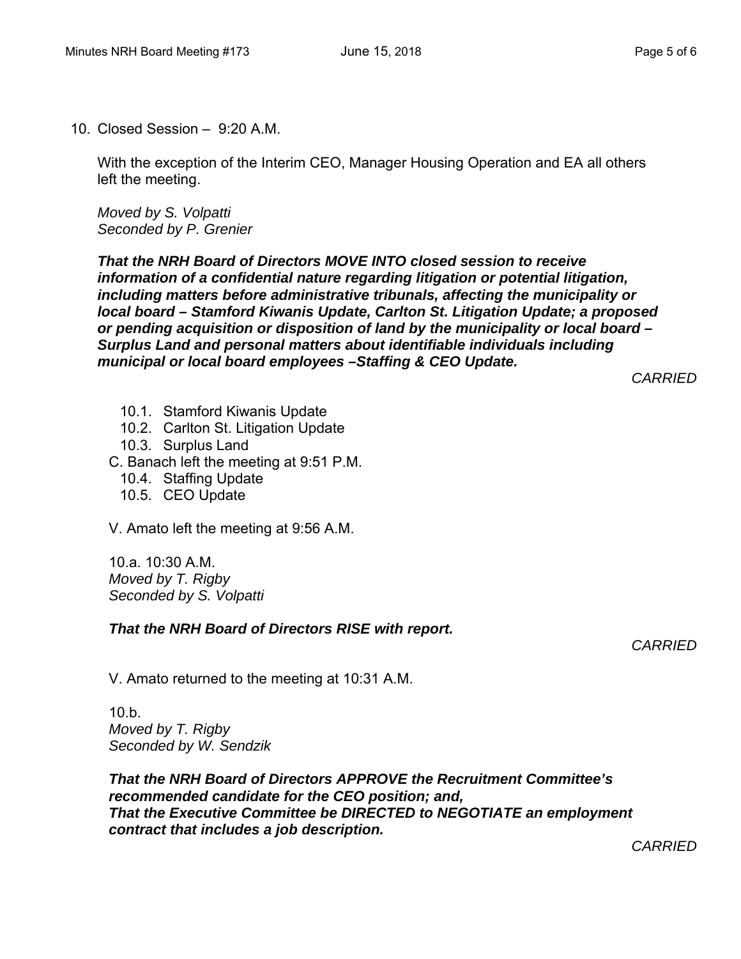10. Closed Session – 9:20 A.M.

With the exception of the Interim CEO, Manager Housing Operation and EA all others left the meeting.

*Moved by S. Volpatti Seconded by P. Grenier* 

*That the NRH Board of Directors MOVE INTO closed session to receive information of a confidential nature regarding litigation or potential litigation, including matters before administrative tribunals, affecting the municipality or local board – Stamford Kiwanis Update, Carlton St. Litigation Update; a proposed or pending acquisition or disposition of land by the municipality or local board – Surplus Land and personal matters about identifiable individuals including municipal or local board employees –Staffing & CEO Update.* 

*CARRIED* 

- 10.1. Stamford Kiwanis Update
- 10.2. Carlton St. Litigation Update
- 10.3. Surplus Land
- C. Banach left the meeting at 9:51 P.M.
	- 10.4. Staffing Update
	- 10.5. CEO Update

V. Amato left the meeting at 9:56 A.M.

10.a. 10:30 A.M. *Moved by T. Rigby Seconded by S. Volpatti* 

#### *That the NRH Board of Directors RISE with report.*

*CARRIED* 

V. Amato returned to the meeting at 10:31 A.M.

10.b. *Moved by T. Rigby Seconded by W. Sendzik* 

*That the NRH Board of Directors APPROVE the Recruitment Committee's recommended candidate for the CEO position; and, That the Executive Committee be DIRECTED to NEGOTIATE an employment contract that includes a job description.*

*CARRIED*